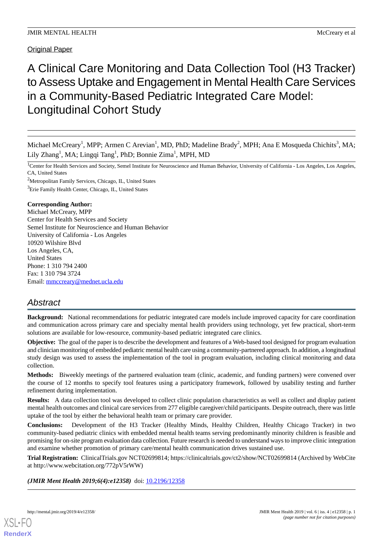Original Paper

# A Clinical Care Monitoring and Data Collection Tool (H3 Tracker) to Assess Uptake and Engagement in Mental Health Care Services in a Community-Based Pediatric Integrated Care Model: Longitudinal Cohort Study

Michael McCreary<sup>1</sup>, MPP; Armen C Arevian<sup>1</sup>, MD, PhD; Madeline Brady<sup>2</sup>, MPH; Ana E Mosqueda Chichits<sup>3</sup>, MA; Lily Zhang<sup>1</sup>, MA; Lingqi Tang<sup>1</sup>, PhD; Bonnie Zima<sup>1</sup>, MPH, MD

<sup>1</sup>Center for Health Services and Society, Semel Institute for Neuroscience and Human Behavior, University of California - Los Angeles, Los Angeles, CA, United States

<sup>2</sup>Metropolitan Family Services, Chicago, IL, United States <sup>3</sup>Erie Family Health Center, Chicago, IL, United States

# **Corresponding Author:**

Michael McCreary, MPP Center for Health Services and Society Semel Institute for Neuroscience and Human Behavior University of California - Los Angeles 10920 Wilshire Blvd Los Angeles, CA, United States Phone: 1 310 794 2400 Fax: 1 310 794 3724 Email: [mmccreary@mednet.ucla.edu](mailto:mmccreary@mednet.ucla.edu)

# *Abstract*

**Background:** National recommendations for pediatric integrated care models include improved capacity for care coordination and communication across primary care and specialty mental health providers using technology, yet few practical, short-term solutions are available for low-resource, community-based pediatric integrated care clinics.

**Objective:** The goal of the paper is to describe the development and features of a Web-based tool designed for program evaluation and clinician monitoring of embedded pediatric mental health care using a community-partnered approach. In addition, a longitudinal study design was used to assess the implementation of the tool in program evaluation, including clinical monitoring and data collection.

**Methods:** Biweekly meetings of the partnered evaluation team (clinic, academic, and funding partners) were convened over the course of 12 months to specify tool features using a participatory framework, followed by usability testing and further refinement during implementation.

**Results:** A data collection tool was developed to collect clinic population characteristics as well as collect and display patient mental health outcomes and clinical care services from 277 eligible caregiver/child participants. Despite outreach, there was little uptake of the tool by either the behavioral health team or primary care provider.

**Conclusions:** Development of the H3 Tracker (Healthy Minds, Healthy Children, Healthy Chicago Tracker) in two community-based pediatric clinics with embedded mental health teams serving predominantly minority children is feasible and promising for on-site program evaluation data collection. Future research is needed to understand ways to improve clinic integration and examine whether promotion of primary care/mental health communication drives sustained use.

**Trial Registration:** ClinicalTrials.gov NCT02699814; https://clinicaltrials.gov/ct2/show/NCT02699814 (Archived by WebCite at http://www.webcitation.org/772pV5rWW)

(JMIR Ment Health 2019;6(4):e12358) doi: [10.2196/12358](http://dx.doi.org/10.2196/12358)

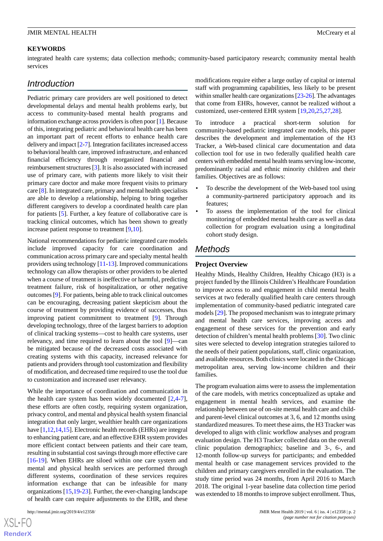#### **KEYWORDS**

integrated health care systems; data collection methods; community-based participatory research; community mental health services

# *Introduction*

Pediatric primary care providers are well positioned to detect developmental delays and mental health problems early, but access to community-based mental health programs and information exchange across providers is often poor [[1\]](#page-9-0). Because of this, integrating pediatric and behavioral health care has been an important part of recent efforts to enhance health care delivery and impact [[2](#page-9-1)-[7\]](#page-9-2). Integration facilitates increased access to behavioral health care, improved infrastructure, and enhanced financial efficiency through reorganized financial and reimbursement structures [\[3](#page-9-3)]. It is also associated with increased use of primary care, with patients more likely to visit their primary care doctor and make more frequent visits to primary care [\[8\]](#page-9-4). In integrated care, primary and mental health specialists are able to develop a relationship, helping to bring together different caregivers to develop a coordinated health care plan for patients [[5\]](#page-9-5). Further, a key feature of collaborative care is tracking clinical outcomes, which has been shown to greatly increase patient response to treatment [[9](#page-9-6)[,10](#page-9-7)].

National recommendations for pediatric integrated care models include improved capacity for care coordination and communication across primary care and specialty mental health providers using technology [[11-](#page-9-8)[13\]](#page-9-9). Improved communications technology can allow therapists or other providers to be alerted when a course of treatment is ineffective or harmful, predicting treatment failure, risk of hospitalization, or other negative outcomes [[9\]](#page-9-6). For patients, being able to track clinical outcomes can be encouraging, decreasing patient skepticism about the course of treatment by providing evidence of successes, thus improving patient commitment to treatment [\[9](#page-9-6)]. Through developing technology, three of the largest barriers to adoption of clinical tracking systems—cost to health care systems, user relevancy, and time required to learn about the tool [\[9](#page-9-6)]—can be mitigated because of the decreased costs associated with creating systems with this capacity, increased relevance for patients and providers through tool customization and flexibility of modification, and decreased time required to use the tool due to customization and increased user relevancy.

While the importance of coordination and communication in the health care system has been widely documented [[2](#page-9-1)[,4-](#page-9-10)[7\]](#page-9-2), these efforts are often costly, requiring system organization, privacy control, and mental and physical health system financial integration that only larger, wealthier health care organizations have [\[1](#page-9-0),[12](#page-9-11),[14,](#page-9-12)[15](#page-9-13)]. Electronic health records (EHRs) are integral to enhancing patient care, and an effective EHR system provides more efficient contact between patients and their care team, resulting in substantial cost savings through more effective care [[16](#page-9-14)[-19](#page-9-15)]. When EHRs are siloed within one care system and mental and physical health services are performed through different systems, coordination of these services requires information exchange that can be infeasible for many organizations [[15,](#page-9-13)[19](#page-9-15)-[23\]](#page-9-16). Further, the ever-changing landscape of health care can require adjustments to the EHR, and these

modifications require either a large outlay of capital or internal staff with programming capabilities, less likely to be present within smaller health care organizations [\[23](#page-9-16)[-26\]](#page-10-0). The advantages that come from EHRs, however, cannot be realized without a customized, user-centered EHR system [\[19](#page-9-15),[20,](#page-9-17)[25,](#page-10-1)[27](#page-10-2)[,28](#page-10-3)].

To introduce a practical short-term solution for community-based pediatric integrated care models, this paper describes the development and implementation of the H3 Tracker, a Web-based clinical care documentation and data collection tool for use in two federally qualified health care centers with embedded mental health teams serving low-income, predominantly racial and ethnic minority children and their families. Objectives are as follows:

- To describe the development of the Web-based tool using a community-partnered participatory approach and its features;
- To assess the implementation of the tool for clinical monitoring of embedded mental health care as well as data collection for program evaluation using a longitudinal cohort study design.

# *Methods*

#### **Project Overview**

Healthy Minds, Healthy Children, Healthy Chicago (H3) is a project funded by the Illinois Children's Healthcare Foundation to improve access to and engagement in child mental health services at two federally qualified health care centers through implementation of community-based pediatric integrated care models [[29\]](#page-10-4). The proposed mechanism was to integrate primary and mental health care services, improving access and engagement of these services for the prevention and early detection of children's mental health problems [\[30](#page-10-5)]. Two clinic sites were selected to develop integration strategies tailored to the needs of their patient populations, staff, clinic organization, and available resources. Both clinics were located in the Chicago metropolitan area, serving low-income children and their families.

The program evaluation aims were to assess the implementation of the care models, with metrics conceptualized as uptake and engagement in mental health services, and examine the relationship between use of on-site mental health care and childand parent-level clinical outcomes at 3, 6, and 12 months using standardized measures. To meet these aims, the H3 Tracker was developed to align with clinic workflow analyses and program evaluation design. The H3 Tracker collected data on the overall clinic population demographics; baseline and 3-, 6-, and 12-month follow-up surveys for participants; and embedded mental health or case management services provided to the children and primary caregivers enrolled in the evaluation. The study time period was 24 months, from April 2016 to March 2018. The original 1-year baseline data collection time period was extended to 18 months to improve subject enrollment. Thus,

 $XS$ -FO **[RenderX](http://www.renderx.com/)**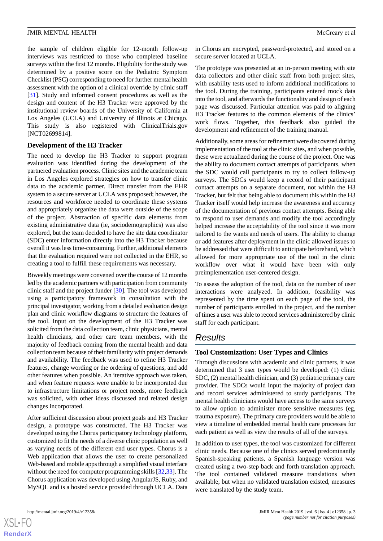the sample of children eligible for 12-month follow-up interviews was restricted to those who completed baseline surveys within the first 12 months. Eligibility for the study was determined by a positive score on the Pediatric Symptom Checklist (PSC) corresponding to need for further mental health assessment with the option of a clinical override by clinic staff [[31\]](#page-10-6). Study and informed consent procedures as well as the design and content of the H3 Tracker were approved by the institutional review boards of the University of California at Los Angeles (UCLA) and University of Illinois at Chicago. This study is also registered with ClinicalTrials.gov [NCT02699814].

# **Development of the H3 Tracker**

The need to develop the H3 Tracker to support program evaluation was identified during the development of the partnered evaluation process. Clinic sites and the academic team in Los Angeles explored strategies on how to transfer clinic data to the academic partner. Direct transfer from the EHR system to a secure server at UCLA was proposed; however, the resources and workforce needed to coordinate these systems and appropriately organize the data were outside of the scope of the project. Abstraction of specific data elements from existing administrative data (ie, sociodemographics) was also explored, but the team decided to have the site data coordinator (SDC) enter information directly into the H3 Tracker because overall it was less time-consuming. Further, additional elements that the evaluation required were not collected in the EHR, so creating a tool to fulfill these requirements was necessary.

Biweekly meetings were convened over the course of 12 months led by the academic partners with participation from community clinic staff and the project funder [[30\]](#page-10-5). The tool was developed using a participatory framework in consultation with the principal investigator, working from a detailed evaluation design plan and clinic workflow diagrams to structure the features of the tool. Input on the development of the H3 Tracker was solicited from the data collection team, clinic physicians, mental health clinicians, and other care team members, with the majority of feedback coming from the mental health and data collection team because of their familiarity with project demands and availability. The feedback was used to refine H3 Tracker features, change wording or the ordering of questions, and add other features when possible. An iterative approach was taken, and when feature requests were unable to be incorporated due to infrastructure limitations or project needs, more feedback was solicited, with other ideas discussed and related design changes incorporated.

After sufficient discussion about project goals and H3 Tracker design, a prototype was constructed. The H3 Tracker was developed using the Chorus participatory technology platform, customized to fit the needs of a diverse clinic population as well as varying needs of the different end user types. Chorus is a Web application that allows the user to create personalized Web-based and mobile apps through a simplified visual interface without the need for computer programming skills [[32](#page-10-7)[,33](#page-10-8)]. The Chorus application was developed using AngularJS, Ruby, and MySQL and is a hosted service provided through UCLA. Data

 $XS$  $\cdot$ FC **[RenderX](http://www.renderx.com/)** in Chorus are encrypted, password-protected, and stored on a secure server located at UCLA.

The prototype was presented at an in-person meeting with site data collectors and other clinic staff from both project sites, with usability tests used to inform additional modifications to the tool. During the training, participants entered mock data into the tool, and afterwards the functionality and design of each page was discussed. Particular attention was paid to aligning H3 Tracker features to the common elements of the clinics' work flows. Together, this feedback also guided the development and refinement of the training manual.

Additionally, some areas for refinement were discovered during implementation of the tool at the clinic sites, and when possible, these were actualized during the course of the project. One was the ability to document contact attempts of participants, when the SDC would call participants to try to collect follow-up surveys. The SDCs would keep a record of their participant contact attempts on a separate document, not within the H3 Tracker, but felt that being able to document this within the H3 Tracker itself would help increase the awareness and accuracy of the documentation of previous contact attempts. Being able to respond to user demands and modify the tool accordingly helped increase the acceptability of the tool since it was more tailored to the wants and needs of users. The ability to change or add features after deployment in the clinic allowed issues to be addressed that were difficult to anticipate beforehand, which allowed for more appropriate use of the tool in the clinic workflow over what it would have been with only preimplementation user-centered design.

To assess the adoption of the tool, data on the number of user interactions were analyzed. In addition, feasibility was represented by the time spent on each page of the tool, the number of participants enrolled in the project, and the number of times a user was able to record services administered by clinic staff for each participant.

# *Results*

# **Tool Customization: User Types and Clinics**

Through discussions with academic and clinic partners, it was determined that 3 user types would be developed: (1) clinic SDC, (2) mental health clinician, and (3) pediatric primary care provider. The SDCs would input the majority of project data and record services administered to study participants. The mental health clinicians would have access to the same surveys to allow option to administer more sensitive measures (eg, trauma exposure). The primary care providers would be able to view a timeline of embedded mental health care processes for each patient as well as view the results of all of the surveys.

In addition to user types, the tool was customized for different clinic needs. Because one of the clinics served predominantly Spanish-speaking patients, a Spanish language version was created using a two-step back and forth translation approach. The tool contained validated measure translations when available, but when no validated translation existed, measures were translated by the study team.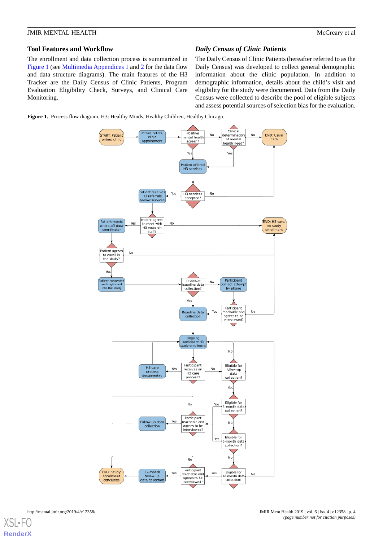# **Tool Features and Workflow**

The enrollment and data collection process is summarized in [Figure 1](#page-3-0) (see [Multimedia Appendices 1](#page-8-0) and [2](#page-8-1) for the data flow and data structure diagrams). The main features of the H3 Tracker are the Daily Census of Clinic Patients, Program Evaluation Eligibility Check, Surveys, and Clinical Care Monitoring.

*Daily Census of Clinic Patients*

The Daily Census of Clinic Patients (hereafter referred to as the Daily Census) was developed to collect general demographic information about the clinic population. In addition to demographic information, details about the child's visit and eligibility for the study were documented. Data from the Daily Census were collected to describe the pool of eligible subjects and assess potential sources of selection bias for the evaluation.

<span id="page-3-0"></span>**Figure 1.** Process flow diagram. H3: Healthy Minds, Healthy Children, Healthy Chicago.



 $XS$  • FC **[RenderX](http://www.renderx.com/)**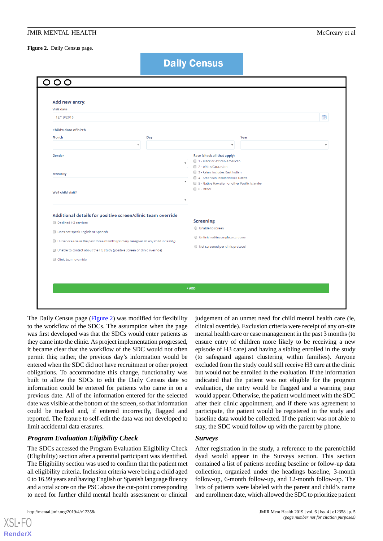<span id="page-4-0"></span>**Figure 2.** Daily Census page.

**Daily Census** 

| Add new entry:                                                                     |                                                            |
|------------------------------------------------------------------------------------|------------------------------------------------------------|
| <b>Visit date</b>                                                                  |                                                            |
| 12/19/2018                                                                         | É                                                          |
| Child's date of birth                                                              |                                                            |
| Month<br><b>Day</b>                                                                | Year                                                       |
| $\boldsymbol{\mathrm{v}}$                                                          | $\overline{\mathbf{v}}$<br>$\boldsymbol{\mathrm{v}}$       |
| Gender                                                                             | Race (check all that apply)                                |
|                                                                                    | 1 - Black or African American<br>$\boldsymbol{\mathrm{v}}$ |
|                                                                                    | 2 - White/Caucasian<br>3 - Asian, includes East Indian     |
| Ethnicity                                                                          | 4 - American Indian/Alaska Native                          |
|                                                                                    | ۷.<br>5 - Native Hawaiian or other Pacific Islander        |
| Well child visit?                                                                  | $\Box$ 6 - Other                                           |
|                                                                                    | ▼                                                          |
| Additional details for positive screen/clinic team override                        |                                                            |
| Declined H3 services                                                               | <b>Screening</b>                                           |
|                                                                                    | O Unable to screen                                         |
| Does not speak English or Spanish                                                  | Unfinished/incomplete screener                             |
| H3 service use in the past three months (primary caregiver or any child in family) |                                                            |
| Unable to contact about the H3 study (positive screen or clinic override)          | ● Not screened per clinic protocol                         |
| Clinic team override                                                               |                                                            |
|                                                                                    |                                                            |
|                                                                                    |                                                            |
|                                                                                    |                                                            |

The Daily Census page ([Figure 2\)](#page-4-0) was modified for flexibility to the workflow of the SDCs. The assumption when the page was first developed was that the SDCs would enter patients as they came into the clinic. As project implementation progressed, it became clear that the workflow of the SDC would not often permit this; rather, the previous day's information would be entered when the SDC did not have recruitment or other project obligations. To accommodate this change, functionality was built to allow the SDCs to edit the Daily Census date so information could be entered for patients who came in on a previous date. All of the information entered for the selected date was visible at the bottom of the screen, so that information could be tracked and, if entered incorrectly, flagged and reported. The feature to self-edit the data was not developed to limit accidental data erasures.

# *Program Evaluation Eligibility Check*

The SDCs accessed the Program Evaluation Eligibility Check (Eligibility) section after a potential participant was identified. The Eligibility section was used to confirm that the patient met all eligibility criteria. Inclusion criteria were being a child aged 0 to 16.99 years and having English or Spanish language fluency and a total score on the PSC above the cut-point corresponding to need for further child mental health assessment or clinical

[XSL](http://www.w3.org/Style/XSL)•FO **[RenderX](http://www.renderx.com/)**

judgement of an unmet need for child mental health care (ie, clinical override). Exclusion criteria were receipt of any on-site mental health care or case management in the past 3 months (to ensure entry of children more likely to be receiving a new episode of H3 care) and having a sibling enrolled in the study (to safeguard against clustering within families). Anyone excluded from the study could still receive H3 care at the clinic but would not be enrolled in the evaluation. If the information indicated that the patient was not eligible for the program evaluation, the entry would be flagged and a warning page would appear. Otherwise, the patient would meet with the SDC after their clinic appointment, and if there was agreement to participate, the patient would be registered in the study and baseline data would be collected. If the patient was not able to stay, the SDC would follow up with the parent by phone.

# *Surveys*

After registration in the study, a reference to the parent/child dyad would appear in the Surveys section. This section contained a list of patients needing baseline or follow-up data collection, organized under the headings baseline, 3-month follow-up, 6-month follow-up, and 12-month follow-up. The lists of patients were labeled with the parent and child's name and enrollment date, which allowed the SDC to prioritize patient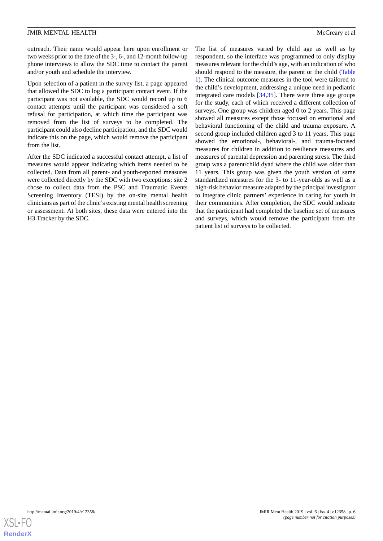outreach. Their name would appear here upon enrollment or two weeks prior to the date of the 3-, 6-, and 12-month follow-up phone interviews to allow the SDC time to contact the parent and/or youth and schedule the interview.

Upon selection of a patient in the survey list, a page appeared that allowed the SDC to log a participant contact event. If the participant was not available, the SDC would record up to 6 contact attempts until the participant was considered a soft refusal for participation, at which time the participant was removed from the list of surveys to be completed. The participant could also decline participation, and the SDC would indicate this on the page, which would remove the participant from the list.

After the SDC indicated a successful contact attempt, a list of measures would appear indicating which items needed to be collected. Data from all parent- and youth-reported measures were collected directly by the SDC with two exceptions: site 2 chose to collect data from the PSC and Traumatic Events Screening Inventory (TESI) by the on-site mental health clinicians as part of the clinic's existing mental health screening or assessment. At both sites, these data were entered into the H3 Tracker by the SDC.

The list of measures varied by child age as well as by respondent, so the interface was programmed to only display measures relevant for the child's age, with an indication of who should respond to the measure, the parent or the child ([Table](#page-6-0) [1\)](#page-6-0). The clinical outcome measures in the tool were tailored to the child's development, addressing a unique need in pediatric integrated care models [[34](#page-10-9)[,35](#page-10-10)]. There were three age groups for the study, each of which received a different collection of surveys. One group was children aged 0 to 2 years. This page showed all measures except those focused on emotional and behavioral functioning of the child and trauma exposure. A second group included children aged 3 to 11 years. This page showed the emotional-, behavioral-, and trauma-focused measures for children in addition to resilience measures and measures of parental depression and parenting stress. The third group was a parent/child dyad where the child was older than 11 years. This group was given the youth version of same standardized measures for the 3- to 11-year-olds as well as a high-risk behavior measure adapted by the principal investigator to integrate clinic partners' experience in caring for youth in their communities. After completion, the SDC would indicate that the participant had completed the baseline set of measures and surveys, which would remove the participant from the patient list of surveys to be collected.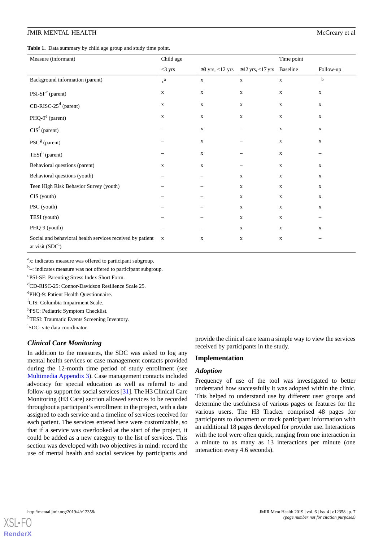<span id="page-6-0"></span>**Table 1.** Data summary by child age group and study time point.

| McCrea |
|--------|
|        |

| Measure (informant)                                                            | Child age               |             |                                                       | Time point  |              |
|--------------------------------------------------------------------------------|-------------------------|-------------|-------------------------------------------------------|-------------|--------------|
|                                                                                | $<$ 3 yrs               |             | $\geq$ 3 yrs, <12 yrs $\geq$ 12 yrs, <17 yrs Baseline |             | Follow-up    |
| Background information (parent)                                                | $\mathbf{x}^{\text{a}}$ | $\mathbf X$ | $\mathbf X$                                           | $\mathbf X$ | $\_^{\rm b}$ |
| $PSI-SFc$ (parent)                                                             | $\mathbf X$             | $\mathbf X$ | $\mathbf X$                                           | $\mathbf X$ | $\mathbf X$  |
| $CD-RISC-25d$ (parent)                                                         | $\mathbf X$             | $\mathbf X$ | $\mathbf X$                                           | $\mathbf X$ | $\mathbf X$  |
| PHQ-9 <sup>e</sup> (parent)                                                    | $\mathbf X$             | $\mathbf X$ | $\mathbf X$                                           | $\mathbf X$ | $\mathbf X$  |
| $CISf$ (parent)                                                                | -                       | $\mathbf X$ | $\overline{\phantom{0}}$                              | $\mathbf X$ | $\mathbf X$  |
| PSC <sup>g</sup> (parent)                                                      |                         | $\mathbf X$ |                                                       | $\mathbf X$ | $\mathbf X$  |
| TEST <sup>h</sup> (parent)                                                     | -                       | $\mathbf X$ | $\overline{\phantom{0}}$                              | $\mathbf X$ | -            |
| Behavioral questions (parent)                                                  | $\mathbf X$             | $\mathbf X$ |                                                       | $\mathbf X$ | $\mathbf X$  |
| Behavioral questions (youth)                                                   |                         |             | $\mathbf X$                                           | $\mathbf X$ | $\mathbf X$  |
| Teen High Risk Behavior Survey (youth)                                         |                         |             | $\mathbf X$                                           | $\mathbf X$ | $\mathbf X$  |
| CIS (youth)                                                                    |                         |             | $\mathbf X$                                           | $\mathbf X$ | $\mathbf X$  |
| PSC (youth)                                                                    |                         |             | $\mathbf X$                                           | $\mathbf X$ | $\mathbf X$  |
| TESI (youth)                                                                   |                         |             | $\mathbf X$                                           | $\mathbf X$ | -            |
| PHQ-9 (youth)                                                                  |                         |             | $\mathbf X$                                           | $\mathbf X$ | $\mathbf X$  |
| Social and behavioral health services received by patient<br>at visit $(SDC1)$ | $\mathbf X$             | $\mathbf X$ | $\mathbf X$                                           | $\mathbf X$ | -            |

<sup>a</sup>x: indicates measure was offered to participant subgroup.

<sup>b</sup><sub>-</sub>: indicates measure was not offered to participant subgroup.

c PSI-SF: Parenting Stress Index Short Form.

<sup>d</sup>CD-RISC-25: Connor-Davidson Resilience Scale 25.

e PHQ-9: Patient Health Questionnaire.

<sup>f</sup>CIS: Columbia Impairment Scale.

<sup>g</sup>PSC: Pediatric Symptom Checklist.

hTESI: Traumatic Events Screening Inventory.

i SDC: site data coordinator.

#### *Clinical Care Monitoring*

In addition to the measures, the SDC was asked to log any mental health services or case management contacts provided during the 12-month time period of study enrollment (see [Multimedia Appendix 3](#page-8-2)). Case management contacts included advocacy for special education as well as referral to and follow-up support for social services [[31](#page-10-6)]. The H3 Clinical Care Monitoring (H3 Care) section allowed services to be recorded throughout a participant's enrollment in the project, with a date assigned to each service and a timeline of services received for each patient. The services entered here were customizable, so that if a service was overlooked at the start of the project, it could be added as a new category to the list of services. This section was developed with two objectives in mind: record the use of mental health and social services by participants and provide the clinical care team a simple way to view the services received by participants in the study.

#### **Implementation**

## *Adoption*

Frequency of use of the tool was investigated to better understand how successfully it was adopted within the clinic. This helped to understand use by different user groups and determine the usefulness of various pages or features for the various users. The H3 Tracker comprised 48 pages for participants to document or track participant information with an additional 18 pages developed for provider use. Interactions with the tool were often quick, ranging from one interaction in a minute to as many as 13 interactions per minute (one interaction every 4.6 seconds).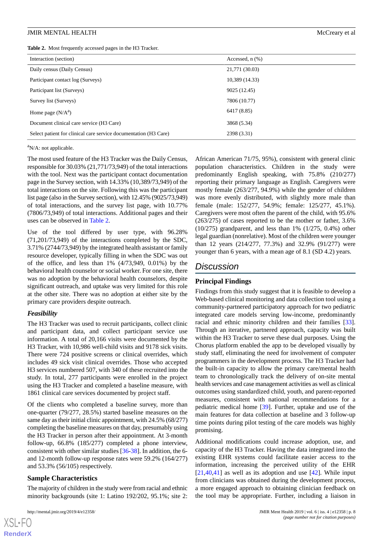<span id="page-7-0"></span>

|  |  | Table 2. Most frequently accessed pages in the H3 Tracker. |  |  |
|--|--|------------------------------------------------------------|--|--|
|--|--|------------------------------------------------------------|--|--|

| Interaction (section)                                            | Accessed, $n$ $(\%)$ |
|------------------------------------------------------------------|----------------------|
| Daily census (Daily Census)                                      | 21,771 (30.03)       |
| Participant contact log (Surveys)                                | 10,389 (14.33)       |
| Participant list (Surveys)                                       | 9025 (12.45)         |
| Survey list (Surveys)                                            | 7806 (10.77)         |
| Home page $(N/A^a)$                                              | 6417 (8.85)          |
| Document clinical care service (H3 Care)                         | 3868 (5.34)          |
| Select patient for clinical care service documentation (H3 Care) | 2398 (3.31)          |

 $\mathrm{a}^{\mathrm{a}}$ N/A: not applicable.

The most used feature of the H3 Tracker was the Daily Census, responsible for 30.03% (21,771/73,949) of the total interactions with the tool. Next was the participant contact documentation page in the Survey section, with 14.33% (10,389/73,949) of the total interactions on the site. Following this was the participant list page (also in the Survey section), with 12.45% (9025/73,949) of total interactions, and the survey list page, with 10.77% (7806/73,949) of total interactions. Additional pages and their uses can be observed in [Table 2.](#page-7-0)

Use of the tool differed by user type, with 96.28% (71,201/73,949) of the interactions completed by the SDC, 3.71% (2744/73,949) by the integrated health assistant or family resource developer, typically filling in when the SDC was out of the office, and less than 1% (4/73,949, 0.01%) by the behavioral health counselor or social worker. For one site, there was no adoption by the behavioral health counselors, despite significant outreach, and uptake was very limited for this role at the other site. There was no adoption at either site by the primary care providers despite outreach.

#### *Feasibility*

The H3 Tracker was used to recruit participants, collect clinic and participant data, and collect participant service use information. A total of 20,166 visits were documented by the H3 Tracker, with 10,986 well-child visits and 9178 sick visits. There were 724 positive screens or clinical overrides, which includes 49 sick visit clinical overrides. Those who accepted H3 services numbered 507, with 340 of these recruited into the study. In total, 277 participants were enrolled in the project using the H3 Tracker and completed a baseline measure, with 1861 clinical care services documented by project staff.

Of the clients who completed a baseline survey, more than one-quarter (79/277, 28.5%) started baseline measures on the same day as their initial clinic appointment, with 24.5% (68/277) completing the baseline measures on that day, presumably using the H3 Tracker in person after their appointment. At 3-month follow-up, 66.8% (185/277) completed a phone interview, consistent with other similar studies [\[36](#page-10-11)[-38](#page-10-12)]. In addition, the 6 and 12-month follow-up response rates were 59.2% (164/277) and 53.3% (56/105) respectively.

#### **Sample Characteristics**

The majority of children in the study were from racial and ethnic minority backgrounds (site 1: Latino 192/202, 95.1%; site 2:

 $X$ SL•FO **[RenderX](http://www.renderx.com/)** African American 71/75, 95%), consistent with general clinic population characteristics. Children in the study were predominantly English speaking, with 75.8% (210/277) reporting their primary language as English. Caregivers were mostly female (263/277, 94.9%) while the gender of children was more evenly distributed, with slightly more male than female (male: 152/277, 54.9%; female: 125/277, 45.1%). Caregivers were most often the parent of the child, with 95.6% (263/275) of cases reported to be the mother or father, 3.6% (10/275) grandparent, and less than 1% (1/275, 0.4%) other legal guardian (nonrelative). Most of the children were younger than 12 years (214/277, 77.3%) and 32.9% (91/277) were younger than 6 years, with a mean age of 8.1 (SD 4.2) years.

# *Discussion*

# **Principal Findings**

Findings from this study suggest that it is feasible to develop a Web-based clinical monitoring and data collection tool using a community-partnered participatory approach for two pediatric integrated care models serving low-income, predominantly racial and ethnic minority children and their families [[33\]](#page-10-8). Through an iterative, partnered approach, capacity was built within the H3 Tracker to serve these dual purposes. Using the Chorus platform enabled the app to be developed visually by study staff, eliminating the need for involvement of computer programmers in the development process. The H3 Tracker had the built-in capacity to allow the primary care/mental health team to chronologically track the delivery of on-site mental health services and case management activities as well as clinical outcomes using standardized child, youth, and parent-reported measures, consistent with national recommendations for a pediatric medical home [\[39](#page-10-13)]. Further, uptake and use of the main features for data collection at baseline and 3 follow-up time points during pilot testing of the care models was highly promising.

Additional modifications could increase adoption, use, and capacity of the H3 Tracker. Having the data integrated into the existing EHR systems could facilitate easier access to the information, increasing the perceived utility of the EHR  $[21,40,41]$  $[21,40,41]$  $[21,40,41]$  $[21,40,41]$  as well as its adoption and use  $[42]$  $[42]$ . While input from clinicians was obtained during the development process, a more engaged approach to obtaining clinician feedback on the tool may be appropriate. Further, including a liaison in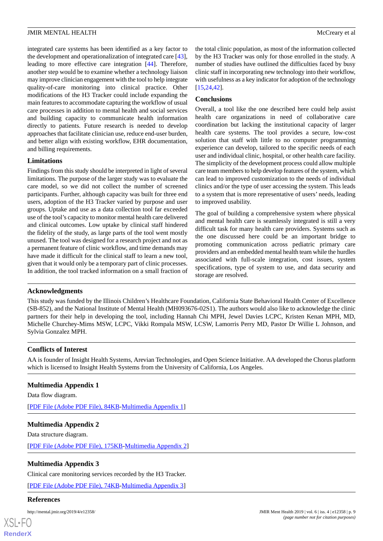integrated care systems has been identified as a key factor to the development and operationalization of integrated care [[43\]](#page-10-17), leading to more effective care integration [[44\]](#page-10-18). Therefore, another step would be to examine whether a technology liaison may improve clinician engagement with the tool to help integrate quality-of-care monitoring into clinical practice. Other modifications of the H3 Tracker could include expanding the main features to accommodate capturing the workflow of usual care processes in addition to mental health and social services and building capacity to communicate health information directly to patients. Future research is needed to develop approaches that facilitate clinician use, reduce end-user burden, and better align with existing workflow, EHR documentation, and billing requirements.

### **Limitations**

Findings from this study should be interpreted in light of several limitations. The purpose of the larger study was to evaluate the care model, so we did not collect the number of screened participants. Further, although capacity was built for three end users, adoption of the H3 Tracker varied by purpose and user groups. Uptake and use as a data collection tool far exceeded use of the tool's capacity to monitor mental health care delivered and clinical outcomes. Low uptake by clinical staff hindered the fidelity of the study, as large parts of the tool went mostly unused. The tool was designed for a research project and not as a permanent feature of clinic workflow, and time demands may have made it difficult for the clinical staff to learn a new tool, given that it would only be a temporary part of clinic processes. In addition, the tool tracked information on a small fraction of

the total clinic population, as most of the information collected by the H3 Tracker was only for those enrolled in the study. A number of studies have outlined the difficulties faced by busy clinic staff in incorporating new technology into their workflow, with usefulness as a key indicator for adoption of the technology [[15,](#page-9-13)[24,](#page-9-19)[42\]](#page-10-16).

#### **Conclusions**

Overall, a tool like the one described here could help assist health care organizations in need of collaborative care coordination but lacking the institutional capacity of larger health care systems. The tool provides a secure, low-cost solution that staff with little to no computer programming experience can develop, tailored to the specific needs of each user and individual clinic, hospital, or other health care facility. The simplicity of the development process could allow multiple care team members to help develop features of the system, which can lead to improved customization to the needs of individual clinics and/or the type of user accessing the system. This leads to a system that is more representative of users' needs, leading to improved usability.

The goal of building a comprehensive system where physical and mental health care is seamlessly integrated is still a very difficult task for many health care providers. Systems such as the one discussed here could be an important bridge to promoting communication across pediatric primary care providers and an embedded mental health team while the hurdles associated with full-scale integration, cost issues, system specifications, type of system to use, and data security and storage are resolved.

#### **Acknowledgments**

This study was funded by the Illinois Children's Healthcare Foundation, California State Behavioral Health Center of Excellence (SB-852), and the National Institute of Mental Health (MH093676-02S1). The authors would also like to acknowledge the clinic partners for their help in developing the tool, including Hannah Chi MPH, Jewel Davies LCPC, Kristen Kenan MPH, MD, Michelle Churchey-Mims MSW, LCPC, Vikki Rompala MSW, LCSW, Lamorris Perry MD, Pastor Dr Willie L Johnson, and Sylvia Gonzalez MPH.

#### <span id="page-8-0"></span>**Conflicts of Interest**

AA is founder of Insight Health Systems, Arevian Technologies, and Open Science Initiative. AA developed the Chorus platform which is licensed to Insight Health Systems from the University of California, Los Angeles.

#### <span id="page-8-1"></span>**Multimedia Appendix 1**

Data flow diagram.

[[PDF File \(Adobe PDF File\), 84KB-Multimedia Appendix 1](https://jmir.org/api/download?alt_name=mental_v6i4e12358_app1.pdf&filename=350e96703b36bb5a5052a28b65be75a0.pdf)]

# <span id="page-8-2"></span>**Multimedia Appendix 2**

Data structure diagram.

[[PDF File \(Adobe PDF File\), 175KB-Multimedia Appendix 2](https://jmir.org/api/download?alt_name=mental_v6i4e12358_app2.pdf&filename=21727bea097f5c8cb24856612592d640.pdf)]

# **Multimedia Appendix 3**

Clinical care monitoring services recorded by the H3 Tracker.

[[PDF File \(Adobe PDF File\), 74KB-Multimedia Appendix 3](https://jmir.org/api/download?alt_name=mental_v6i4e12358_app3.pdf&filename=008c646a68054eb0b3a76818b26f5663.pdf)]

#### **References**

[XSL](http://www.w3.org/Style/XSL)•FO **[RenderX](http://www.renderx.com/)**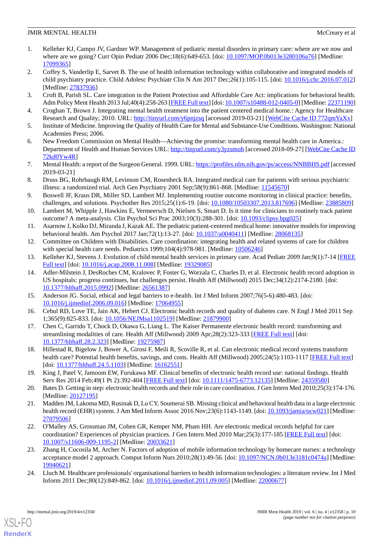- <span id="page-9-0"></span>1. Kelleher KJ, Campo JV, Gardner WP. Management of pediatric mental disorders in primary care: where are we now and where are we going? Curr Opin Pediatr 2006 Dec;18(6):649-653. [doi: [10.1097/MOP.0b013e3280106a76\]](http://dx.doi.org/10.1097/MOP.0b013e3280106a76) [Medline: [17099365](http://www.ncbi.nlm.nih.gov/entrez/query.fcgi?cmd=Retrieve&db=PubMed&list_uids=17099365&dopt=Abstract)]
- <span id="page-9-1"></span>2. Coffey S, Vanderlip E, Sarvet B. The use of health information technology within collaborative and integrated models of child psychiatry practice. Child Adolesc Psychiatr Clin N Am 2017 Dec;26(1):105-115. [doi: [10.1016/j.chc.2016.07.012\]](http://dx.doi.org/10.1016/j.chc.2016.07.012) [Medline: [27837936](http://www.ncbi.nlm.nih.gov/entrez/query.fcgi?cmd=Retrieve&db=PubMed&list_uids=27837936&dopt=Abstract)]
- <span id="page-9-10"></span><span id="page-9-3"></span>3. Croft B, Parish SL. Care integration in the Patient Protection and Affordable Care Act: implications for behavioral health. Adm Policy Ment Health 2013 Jul;40(4):258-263 [\[FREE Full text](http://europepmc.org/abstract/MED/22371190)] [doi: [10.1007/s10488-012-0405-0](http://dx.doi.org/10.1007/s10488-012-0405-0)] [Medline: [22371190](http://www.ncbi.nlm.nih.gov/entrez/query.fcgi?cmd=Retrieve&db=PubMed&list_uids=22371190&dopt=Abstract)]
- <span id="page-9-5"></span>4. Croghan T, Brown J. Integrating mental health treatment into the patient centered medical home.: Agency for Healthcare Research and Quality; 2010. URL: [http://tinyurl.com/y6pnjzsq](https://pcmh.ahrq.gov/sites/default/files/attachments/Integrating%20Mental%20Health%20and%20Substance%20Use%20Treatment%20in%20the%20PCMH.pdf) [accessed 2019-03-21] [\[WebCite Cache ID 772qmYaXx\]](http://www.webcitation.org/

                                772qmYaXx)
- 5. Institute of Medicine. Improving the Quality of Health Care for Mental and Substance-Use Conditions. Washington: National Academies Press; 2006.
- <span id="page-9-2"></span>6. New Freedom Commission on Mental Health—Achieving the promise: transforming mental health care in America.: Department of Health and Human Services URL: [http://tinyurl.com/y3yzsmoh](https://govinfo.library.unt.edu/mentalhealthcommission/reports/FinalReport/downloads/FinalReport.pdf) [accessed 2018-09-27] [[WebCite Cache ID](http://www.webcitation.org/

                                72kd0Yw4R) [72kd0Yw4R\]](http://www.webcitation.org/

                                72kd0Yw4R)
- <span id="page-9-4"></span>7. Mental Health: a report of the Surgeon General. 1999. URL:<https://profiles.nlm.nih.gov/ps/access/NNBBHS.pdf> [accessed 2019-03-21]
- <span id="page-9-6"></span>8. Druss BG, Rohrbaugh RM, Levinson CM, Rosenheck RA. Integrated medical care for patients with serious psychiatric illness: a randomized trial. Arch Gen Psychiatry 2001 Sep;58(9):861-868. [Medline: [11545670](http://www.ncbi.nlm.nih.gov/entrez/query.fcgi?cmd=Retrieve&db=PubMed&list_uids=11545670&dopt=Abstract)]
- <span id="page-9-7"></span>9. Boswell JF, Kraus DR, Miller SD, Lambert MJ. Implementing routine outcome monitoring in clinical practice: benefits, challenges, and solutions. Psychother Res 2015;25(1):6-19. [doi: [10.1080/10503307.2013.817696](http://dx.doi.org/10.1080/10503307.2013.817696)] [Medline: [23885809](http://www.ncbi.nlm.nih.gov/entrez/query.fcgi?cmd=Retrieve&db=PubMed&list_uids=23885809&dopt=Abstract)]
- <span id="page-9-11"></span><span id="page-9-8"></span>10. Lambert M, Whipple J, Hawkins E, Vermeersch D, Nielsen S, Smart D. Is it time for clinicians to routinely track patient outcome? A meta-analysis. Clin Psychol Sci Prac 2003;10(3):288-301. [doi: [10.1093/clipsy.bpg025](http://dx.doi.org/10.1093/clipsy.bpg025)]
- <span id="page-9-9"></span>11. Asarnow J, Kolko DJ, Miranda J, Kazak AE. The pediatric patient-centered medical home: innovative models for improving behavioral health. Am Psychol 2017 Jan;72(1):13-27. [doi: [10.1037/a0040411\]](http://dx.doi.org/10.1037/a0040411) [Medline: [28068135](http://www.ncbi.nlm.nih.gov/entrez/query.fcgi?cmd=Retrieve&db=PubMed&list_uids=28068135&dopt=Abstract)]
- <span id="page-9-12"></span>12. Committee on Children with Disabilities. Care coordination: integrating health and related systems of care for children with special health care needs. Pediatrics 1999;104(4):978-981. [Medline: [10506246](http://www.ncbi.nlm.nih.gov/entrez/query.fcgi?cmd=Retrieve&db=PubMed&list_uids=10506246&dopt=Abstract)]
- 13. Kelleher KJ, Stevens J. Evolution of child mental health services in primary care. Acad Pediatr 2009 Jan;9(1):7-14 [\[FREE](http://europepmc.org/abstract/MED/19329085) [Full text\]](http://europepmc.org/abstract/MED/19329085) [doi: [10.1016/j.acap.2008.11.008\]](http://dx.doi.org/10.1016/j.acap.2008.11.008) [Medline: [19329085](http://www.ncbi.nlm.nih.gov/entrez/query.fcgi?cmd=Retrieve&db=PubMed&list_uids=19329085&dopt=Abstract)]
- <span id="page-9-14"></span><span id="page-9-13"></span>14. Adler-Milstein J, DesRoches CM, Kralovec P, Foster G, Worzala C, Charles D, et al. Electronic health record adoption in US hospitals: progress continues, but challenges persist. Health Aff (Millwood) 2015 Dec;34(12):2174-2180. [doi: [10.1377/hlthaff.2015.0992](http://dx.doi.org/10.1377/hlthaff.2015.0992)] [Medline: [26561387\]](http://www.ncbi.nlm.nih.gov/entrez/query.fcgi?cmd=Retrieve&db=PubMed&list_uids=26561387&dopt=Abstract)
- 15. Anderson JG. Social, ethical and legal barriers to e-health. Int J Med Inform 2007;76(5-6):480-483. [doi: [10.1016/j.ijmedinf.2006.09.016\]](http://dx.doi.org/10.1016/j.ijmedinf.2006.09.016) [Medline: [17064955](http://www.ncbi.nlm.nih.gov/entrez/query.fcgi?cmd=Retrieve&db=PubMed&list_uids=17064955&dopt=Abstract)]
- 16. Cebul RD, Love TE, Jain AK, Hebert CJ. Electronic health records and quality of diabetes care. N Engl J Med 2011 Sep 1;365(9):825-833. [doi: [10.1056/NEJMsa1102519](http://dx.doi.org/10.1056/NEJMsa1102519)] [Medline: [21879900\]](http://www.ncbi.nlm.nih.gov/entrez/query.fcgi?cmd=Retrieve&db=PubMed&list_uids=21879900&dopt=Abstract)
- <span id="page-9-15"></span>17. Chen C, Garrido T, Chock D, Okawa G, Liang L. The Kaiser Permanente electronic health record: transforming and streamlining modalities of care. Health Aff (Millwood) 2009 Apr;28(2):323-333 [[FREE Full text](http://content.healthaffairs.org/cgi/pmidlookup?view=long&pmid=19275987)] [doi: [10.1377/hlthaff.28.2.323\]](http://dx.doi.org/10.1377/hlthaff.28.2.323) [Medline: [19275987\]](http://www.ncbi.nlm.nih.gov/entrez/query.fcgi?cmd=Retrieve&db=PubMed&list_uids=19275987&dopt=Abstract)
- <span id="page-9-17"></span>18. Hillestad R, Bigelow J, Bower A, Girosi F, Meili R, Scoville R, et al. Can electronic medical record systems transform health care? Potential health benefits, savings, and costs. Health Aff (Millwood) 2005;24(5):1103-1117 [\[FREE Full text\]](http://content.healthaffairs.org/cgi/pmidlookup?view=long&pmid=16162551) [doi: [10.1377/hlthaff.24.5.1103](http://dx.doi.org/10.1377/hlthaff.24.5.1103)] [Medline: [16162551\]](http://www.ncbi.nlm.nih.gov/entrez/query.fcgi?cmd=Retrieve&db=PubMed&list_uids=16162551&dopt=Abstract)
- <span id="page-9-18"></span>19. King J, Patel V, Jamoom EW, Furukawa MF. Clinical benefits of electronic health record use: national findings. Health Serv Res 2014 Feb;49(1 Pt 2):392-404 [\[FREE Full text\]](http://europepmc.org/abstract/MED/24359580) [doi: [10.1111/1475-6773.12135\]](http://dx.doi.org/10.1111/1475-6773.12135) [Medline: [24359580\]](http://www.ncbi.nlm.nih.gov/entrez/query.fcgi?cmd=Retrieve&db=PubMed&list_uids=24359580&dopt=Abstract)
- 20. Bates D. Getting in step: electronic health records and their role in care coordination. J Gen Intern Med 2010;25(3):174-176. [Medline: [20127195](http://www.ncbi.nlm.nih.gov/entrez/query.fcgi?cmd=Retrieve&db=PubMed&list_uids=20127195&dopt=Abstract)]
- <span id="page-9-16"></span>21. Madden JM, Lakoma MD, Rusinak D, Lu CY, Soumerai SB. Missing clinical and behavioral health data in a large electronic health record (EHR) system. J Am Med Inform Assoc 2016 Nov;23(6):1143-1149. [doi: [10.1093/jamia/ocw021\]](http://dx.doi.org/10.1093/jamia/ocw021) [Medline: [27079506](http://www.ncbi.nlm.nih.gov/entrez/query.fcgi?cmd=Retrieve&db=PubMed&list_uids=27079506&dopt=Abstract)]
- <span id="page-9-19"></span>22. O'Malley AS, Grossman JM, Cohen GR, Kemper NM, Pham HH. Are electronic medical records helpful for care coordination? Experiences of physician practices. J Gen Intern Med 2010 Mar;25(3):177-185 [[FREE Full text](http://europepmc.org/abstract/MED/20033621)] [doi: [10.1007/s11606-009-1195-2\]](http://dx.doi.org/10.1007/s11606-009-1195-2) [Medline: [20033621](http://www.ncbi.nlm.nih.gov/entrez/query.fcgi?cmd=Retrieve&db=PubMed&list_uids=20033621&dopt=Abstract)]
- 23. Zhang H, Cocosila M, Archer N. Factors of adoption of mobile information technology by homecare nurses: a technology acceptance model 2 approach. Comput Inform Nurs 2010;28(1):49-56. [doi: [10.1097/NCN.0b013e3181c0474a\]](http://dx.doi.org/10.1097/NCN.0b013e3181c0474a) [Medline: [19940621](http://www.ncbi.nlm.nih.gov/entrez/query.fcgi?cmd=Retrieve&db=PubMed&list_uids=19940621&dopt=Abstract)]
- 24. Lluch M. Healthcare professionals' organisational barriers to health information technologies: a literature review. Int J Med Inform 2011 Dec;80(12):849-862. [doi: [10.1016/j.ijmedinf.2011.09.005](http://dx.doi.org/10.1016/j.ijmedinf.2011.09.005)] [Medline: [22000677](http://www.ncbi.nlm.nih.gov/entrez/query.fcgi?cmd=Retrieve&db=PubMed&list_uids=22000677&dopt=Abstract)]

[XSL](http://www.w3.org/Style/XSL)•FO **[RenderX](http://www.renderx.com/)**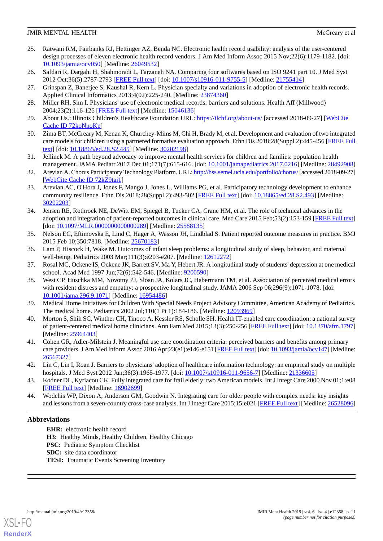- <span id="page-10-1"></span>25. Ratwani RM, Fairbanks RJ, Hettinger AZ, Benda NC. Electronic health record usability: analysis of the user-centered design processes of eleven electronic health record vendors. J Am Med Inform Assoc 2015 Nov;22(6):1179-1182. [doi: [10.1093/jamia/ocv050](http://dx.doi.org/10.1093/jamia/ocv050)] [Medline: [26049532](http://www.ncbi.nlm.nih.gov/entrez/query.fcgi?cmd=Retrieve&db=PubMed&list_uids=26049532&dopt=Abstract)]
- <span id="page-10-2"></span><span id="page-10-0"></span>26. Safdari R, Dargahi H, Shahmoradi L, Farzaneh NA. Comparing four softwares based on ISO 9241 part 10. J Med Syst 2012 Oct;36(5):2787-2793 [[FREE Full text](http://europepmc.org/abstract/MED/21755414)] [doi: [10.1007/s10916-011-9755-5\]](http://dx.doi.org/10.1007/s10916-011-9755-5) [Medline: [21755414](http://www.ncbi.nlm.nih.gov/entrez/query.fcgi?cmd=Retrieve&db=PubMed&list_uids=21755414&dopt=Abstract)]
- <span id="page-10-3"></span>27. Grinspan Z, Banerjee S, Kaushal R, Kern L. Physician specialty and variations in adoption of electronic health records. Applied Clinical Informatics 2013;4(02):225-240. [Medline: [23874360\]](http://www.ncbi.nlm.nih.gov/entrez/query.fcgi?cmd=Retrieve&db=PubMed&list_uids=23874360&dopt=Abstract)
- <span id="page-10-4"></span>28. Miller RH, Sim I. Physicians' use of electronic medical records: barriers and solutions. Health Aff (Millwood) 2004;23(2):116-126 [[FREE Full text](http://content.healthaffairs.org/cgi/pmidlookup?view=long&pmid=15046136)] [Medline: [15046136](http://www.ncbi.nlm.nih.gov/entrez/query.fcgi?cmd=Retrieve&db=PubMed&list_uids=15046136&dopt=Abstract)]
- <span id="page-10-5"></span>29. About Us.: Illinois Children's Healthcare Foundation URL: <https://ilchf.org/about-us/> [accessed 2018-09-27] [[WebCite](http://www.webcitation.org/

                                72koNnoKp) [Cache ID 72koNnoKp](http://www.webcitation.org/

                                72koNnoKp)]
- <span id="page-10-6"></span>30. Zima BT, McCreary M, Kenan K, Churchey-Mims M, Chi H, Brady M, et al. Development and evaluation of two integrated care models for children using a partnered formative evaluation approach. Ethn Dis 2018;28(Suppl 2):445-456 [[FREE Full](http://europepmc.org/abstract/MED/30202198) [text](http://europepmc.org/abstract/MED/30202198)] [doi: [10.18865/ed.28.S2.445](http://dx.doi.org/10.18865/ed.28.S2.445)] [Medline: [30202198](http://www.ncbi.nlm.nih.gov/entrez/query.fcgi?cmd=Retrieve&db=PubMed&list_uids=30202198&dopt=Abstract)]
- <span id="page-10-7"></span>31. Jellinek M. A path beyond advocacy to improve mental health services for children and families: population health management. JAMA Pediatr 2017 Dec 01;171(7):615-616. [doi: [10.1001/jamapediatrics.2017.0216](http://dx.doi.org/10.1001/jamapediatrics.2017.0216)] [Medline: [28492908](http://www.ncbi.nlm.nih.gov/entrez/query.fcgi?cmd=Retrieve&db=PubMed&list_uids=28492908&dopt=Abstract)]
- <span id="page-10-8"></span>32. Arevian A. Chorus Participatory Technology Platform. URL:<http://hss.semel.ucla.edu/portfolio/chorus/> [accessed 2018-09-27] [[WebCite Cache ID 72kZ9tai1\]](http://www.webcitation.org/

                                72kZ9tai1)
- <span id="page-10-9"></span>33. Arevian AC, O'Hora J, Jones F, Mango J, Jones L, Williams PG, et al. Participatory technology development to enhance community resilience. Ethn Dis 2018;28(Suppl 2):493-502 [[FREE Full text](http://europepmc.org/abstract/MED/30202203)] [doi: [10.18865/ed.28.S2.493](http://dx.doi.org/10.18865/ed.28.S2.493)] [Medline: [30202203](http://www.ncbi.nlm.nih.gov/entrez/query.fcgi?cmd=Retrieve&db=PubMed&list_uids=30202203&dopt=Abstract)]
- <span id="page-10-10"></span>34. Jensen RE, Rothrock NE, DeWitt EM, Spiegel B, Tucker CA, Crane HM, et al. The role of technical advances in the adoption and integration of patient-reported outcomes in clinical care. Med Care 2015 Feb;53(2):153-159 [[FREE Full text](http://europepmc.org/abstract/MED/25588135)] [doi: [10.1097/MLR.0000000000000289](http://dx.doi.org/10.1097/MLR.0000000000000289)] [Medline: [25588135](http://www.ncbi.nlm.nih.gov/entrez/query.fcgi?cmd=Retrieve&db=PubMed&list_uids=25588135&dopt=Abstract)]
- <span id="page-10-11"></span>35. Nelson EC, Eftimovska E, Lind C, Hager A, Wasson JH, Lindblad S. Patient reported outcome measures in practice. BMJ 2015 Feb 10;350:7818. [Medline: [25670183](http://www.ncbi.nlm.nih.gov/entrez/query.fcgi?cmd=Retrieve&db=PubMed&list_uids=25670183&dopt=Abstract)]
- <span id="page-10-12"></span>36. Lam P, Hiscock H, Wake M. Outcomes of infant sleep problems: a longitudinal study of sleep, behavior, and maternal well-being. Pediatrics 2003 Mar;111(3):e203-e207. [Medline: [12612272\]](http://www.ncbi.nlm.nih.gov/entrez/query.fcgi?cmd=Retrieve&db=PubMed&list_uids=12612272&dopt=Abstract)
- 37. Rosal MC, Ockene IS, Ockene JK, Barrett SV, Ma Y, Hebert JR. A longitudinal study of students' depression at one medical school. Acad Med 1997 Jun;72(6):542-546. [Medline: [9200590\]](http://www.ncbi.nlm.nih.gov/entrez/query.fcgi?cmd=Retrieve&db=PubMed&list_uids=9200590&dopt=Abstract)
- <span id="page-10-14"></span><span id="page-10-13"></span>38. West CP, Huschka MM, Novotny PJ, Sloan JA, Kolars JC, Habermann TM, et al. Association of perceived medical errors with resident distress and empathy: a prospective longitudinal study. JAMA 2006 Sep 06;296(9):1071-1078. [doi: [10.1001/jama.296.9.1071\]](http://dx.doi.org/10.1001/jama.296.9.1071) [Medline: [16954486](http://www.ncbi.nlm.nih.gov/entrez/query.fcgi?cmd=Retrieve&db=PubMed&list_uids=16954486&dopt=Abstract)]
- <span id="page-10-15"></span>39. Medical Home Initiatives for Children With Special Needs Project Advisory Committee, American Academy of Pediatrics. The medical home. Pediatrics 2002 Jul;110(1 Pt 1):184-186. [Medline: [12093969\]](http://www.ncbi.nlm.nih.gov/entrez/query.fcgi?cmd=Retrieve&db=PubMed&list_uids=12093969&dopt=Abstract)
- <span id="page-10-16"></span>40. Morton S, Shih SC, Winther CH, Tinoco A, Kessler RS, Scholle SH. Health IT-enabled care coordination: a national survey of patient-centered medical home clinicians. Ann Fam Med 2015;13(3):250-256 [\[FREE Full text\]](http://www.annfammed.org/cgi/pmidlookup?view=long&pmid=25964403) [doi: [10.1370/afm.1797](http://dx.doi.org/10.1370/afm.1797)] [Medline: [25964403](http://www.ncbi.nlm.nih.gov/entrez/query.fcgi?cmd=Retrieve&db=PubMed&list_uids=25964403&dopt=Abstract)]
- <span id="page-10-17"></span>41. Cohen GR, Adler-Milstein J. Meaningful use care coordination criteria: perceived barriers and benefits among primary care providers. J Am Med Inform Assoc 2016 Apr;23(e1):e146-e151 [\[FREE Full text\]](http://europepmc.org/abstract/MED/26567327) [doi: [10.1093/jamia/ocv147\]](http://dx.doi.org/10.1093/jamia/ocv147) [Medline: [26567327](http://www.ncbi.nlm.nih.gov/entrez/query.fcgi?cmd=Retrieve&db=PubMed&list_uids=26567327&dopt=Abstract)]
- <span id="page-10-18"></span>42. Lin C, Lin I, Roan J. Barriers to physicians' adoption of healthcare information technology: an empirical study on multiple hospitals. J Med Syst 2012 Jun;36(3):1965-1977. [doi: [10.1007/s10916-011-9656-7\]](http://dx.doi.org/10.1007/s10916-011-9656-7) [Medline: [21336605](http://www.ncbi.nlm.nih.gov/entrez/query.fcgi?cmd=Retrieve&db=PubMed&list_uids=21336605&dopt=Abstract)]
- 43. Kodner DL, Kyriacou CK. Fully integrated care for frail elderly: two American models. Int J Integr Care 2000 Nov 01;1:e08 [[FREE Full text](http://europepmc.org/abstract/MED/16902699)] [Medline: [16902699](http://www.ncbi.nlm.nih.gov/entrez/query.fcgi?cmd=Retrieve&db=PubMed&list_uids=16902699&dopt=Abstract)]
- 44. Wodchis WP, Dixon A, Anderson GM, Goodwin N. Integrating care for older people with complex needs: key insights and lessons from a seven-country cross-case analysis. Int J Integr Care 2015;15:e021 [[FREE Full text\]](http://europepmc.org/abstract/MED/26528096) [Medline: [26528096](http://www.ncbi.nlm.nih.gov/entrez/query.fcgi?cmd=Retrieve&db=PubMed&list_uids=26528096&dopt=Abstract)]

# **Abbreviations**

**EHR:** electronic health record **H3:** Healthy Minds, Healthy Children, Healthy Chicago **PSC:** Pediatric Symptom Checklist **SDC:** site data coordinator **TESI:** Traumatic Events Screening Inventory